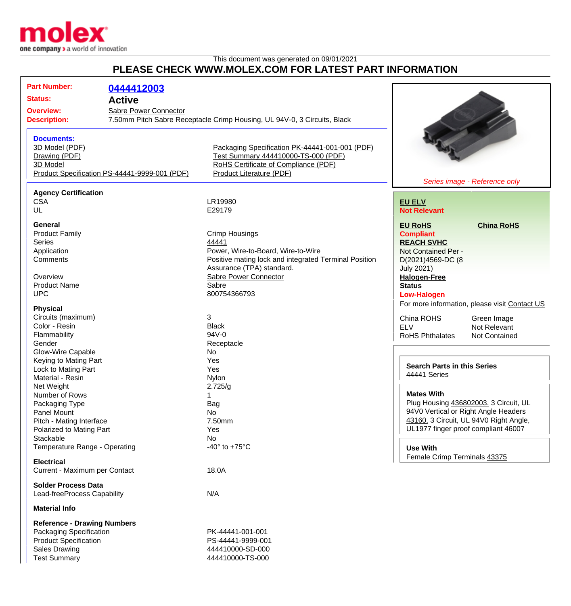

## This document was generated on 09/01/2021 **PLEASE CHECK WWW.MOLEX.COM FOR LATEST PART INFORMATION**

| <b>Part Number:</b>                | 0444412003                                    |                                                                                       |                                               |
|------------------------------------|-----------------------------------------------|---------------------------------------------------------------------------------------|-----------------------------------------------|
| <b>Status:</b>                     | <b>Active</b>                                 |                                                                                       |                                               |
|                                    |                                               |                                                                                       |                                               |
| <b>Overview:</b>                   | Sabre Power Connector                         |                                                                                       |                                               |
| <b>Description:</b>                |                                               | 7.50mm Pitch Sabre Receptacle Crimp Housing, UL 94V-0, 3 Circuits, Black              |                                               |
|                                    |                                               |                                                                                       |                                               |
| <b>Documents:</b>                  |                                               |                                                                                       |                                               |
| 3D Model (PDF)                     |                                               | Packaging Specification PK-44441-001-001 (PDF)<br>Test Summary 444410000-TS-000 (PDF) |                                               |
| Drawing (PDF)<br>3D Model          |                                               | RoHS Certificate of Compliance (PDF)                                                  |                                               |
|                                    | Product Specification PS-44441-9999-001 (PDF) | <b>Product Literature (PDF)</b>                                                       |                                               |
|                                    |                                               |                                                                                       | Series image - Reference only                 |
| <b>Agency Certification</b>        |                                               |                                                                                       |                                               |
| <b>CSA</b>                         |                                               | LR19980                                                                               | <b>EU ELV</b>                                 |
| UL                                 |                                               | E29179                                                                                | <b>Not Relevant</b>                           |
|                                    |                                               |                                                                                       |                                               |
| General                            |                                               |                                                                                       | <b>EU RoHS</b><br><b>China RoHS</b>           |
| <b>Product Family</b>              |                                               | <b>Crimp Housings</b>                                                                 | <b>Compliant</b>                              |
| <b>Series</b>                      |                                               | 44441                                                                                 | <b>REACH SVHC</b>                             |
| Application                        |                                               | Power, Wire-to-Board, Wire-to-Wire                                                    | Not Contained Per -                           |
| Comments                           |                                               | Positive mating lock and integrated Terminal Position                                 | D(2021)4569-DC (8                             |
|                                    |                                               | Assurance (TPA) standard.                                                             | <b>July 2021)</b>                             |
| Overview                           |                                               | Sabre Power Connector                                                                 | <b>Halogen-Free</b>                           |
| <b>Product Name</b>                |                                               | Sabre                                                                                 | <b>Status</b>                                 |
| <b>UPC</b>                         |                                               | 800754366793                                                                          | <b>Low-Halogen</b>                            |
| <b>Physical</b>                    |                                               |                                                                                       | For more information, please visit Contact US |
| Circuits (maximum)                 |                                               | 3                                                                                     | China ROHS<br>Green Image                     |
| Color - Resin                      |                                               | <b>Black</b>                                                                          | <b>ELV</b><br>Not Relevant                    |
| Flammability                       |                                               | 94V-0                                                                                 | <b>RoHS Phthalates</b><br>Not Contained       |
| Gender                             |                                               | Receptacle                                                                            |                                               |
| Glow-Wire Capable                  |                                               | No                                                                                    |                                               |
| Keying to Mating Part              |                                               | Yes                                                                                   |                                               |
| Lock to Mating Part                |                                               | Yes                                                                                   | <b>Search Parts in this Series</b>            |
| Material - Resin                   |                                               | Nylon                                                                                 | 44441 Series                                  |
| Net Weight                         |                                               | 2.725/g                                                                               |                                               |
| Number of Rows                     |                                               | $\mathbf 1$                                                                           | <b>Mates With</b>                             |
| Packaging Type                     |                                               | Bag                                                                                   | Plug Housing 436802003. 3 Circuit, UL         |
| Panel Mount                        |                                               | No                                                                                    | 94V0 Vertical or Right Angle Headers          |
| Pitch - Mating Interface           |                                               | 7.50mm                                                                                | 43160. 3 Circuit, UL 94V0 Right Angle,        |
| Polarized to Mating Part           |                                               | Yes                                                                                   | UL1977 finger proof compliant 46007           |
| Stackable                          |                                               | No                                                                                    |                                               |
| Temperature Range - Operating      |                                               | -40 $\degree$ to +75 $\degree$ C                                                      | <b>Use With</b>                               |
| <b>Electrical</b>                  |                                               |                                                                                       | Female Crimp Terminals 43375                  |
| Current - Maximum per Contact      |                                               | 18.0A                                                                                 |                                               |
|                                    |                                               |                                                                                       |                                               |
| <b>Solder Process Data</b>         |                                               |                                                                                       |                                               |
| Lead-freeProcess Capability        |                                               | N/A                                                                                   |                                               |
| <b>Material Info</b>               |                                               |                                                                                       |                                               |
| <b>Reference - Drawing Numbers</b> |                                               |                                                                                       |                                               |
| Packaging Specification            |                                               | PK-44441-001-001                                                                      |                                               |
| <b>Product Specification</b>       |                                               | PS-44441-9999-001                                                                     |                                               |
| <b>Sales Drawing</b>               |                                               | 444410000-SD-000                                                                      |                                               |
| <b>Test Summary</b>                |                                               | 444410000-TS-000                                                                      |                                               |
|                                    |                                               |                                                                                       |                                               |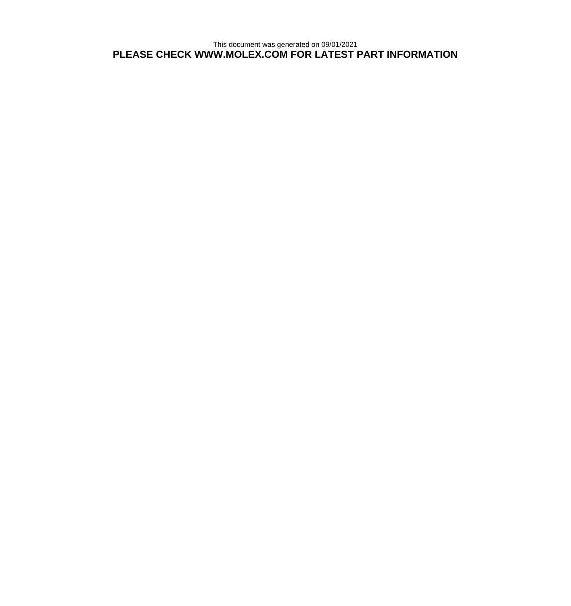This document was generated on 09/01/2021 **PLEASE CHECK WWW.MOLEX.COM FOR LATEST PART INFORMATION**